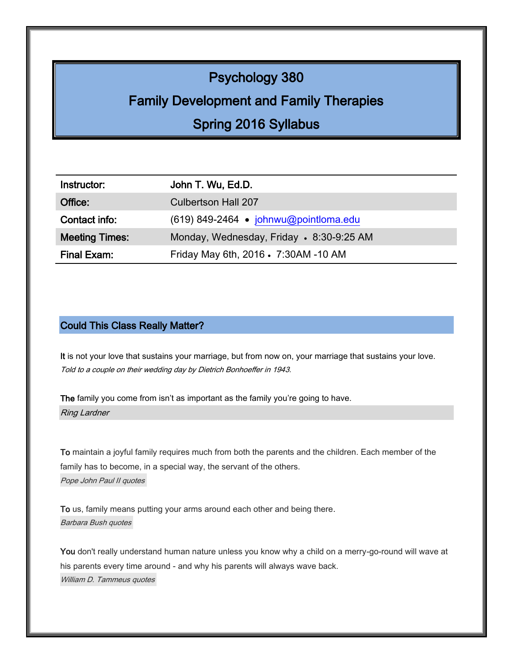# Psychology 380

# Family Development and Family Therapies

# Spring 2016 Syllabus

| Instructor:           | John T. Wu, Ed.D.                        |
|-----------------------|------------------------------------------|
| Office:               | <b>Culbertson Hall 207</b>               |
| Contact info:         | $(619)$ 849-2464 • johnwu@pointloma.edu  |
| <b>Meeting Times:</b> | Monday, Wednesday, Friday • 8:30-9:25 AM |
| Final Exam:           | Friday May 6th, 2016 • 7:30AM -10 AM     |

## Could This Class Really Matter?

It is not your love that sustains your marriage, but from now on, your marriage that sustains your love. Told to a couple on their wedding day by Dietrich Bonhoeffer in 1943.

The family you come from isn't as important as the family you're going to have. Ring Lardner

To maintain a joyful family [requires much from both the parents and the children. Each member of the](http://www.searchquotes.com/quotation/To_maintain_a_joyful_family_requires_much_from_both_the_parents_and_the_children._Each_member_of_the/234694/) family [has to become, in a special way, the servant of the others.](http://www.searchquotes.com/quotation/To_maintain_a_joyful_family_requires_much_from_both_the_parents_and_the_children._Each_member_of_the/234694/) [Pope John Paul II quotes](http://www.searchquotes.com/quotes/author/Pope_John_Paul_II/)

To us, family [means putting your arms around each other and being there.](http://www.searchquotes.com/quotation/To_us%2C_family_means_putting_your_arms_around_each_other_and_being_there/5416/) [Barbara Bush quotes](http://www.searchquotes.com/quotes/author/Barbara_Bush/)

You don't really understand human nature unless you know why a child on a merry-go-round will wave at his parents every time around - [and why his parents will always wave back.](http://www.searchquotes.com/quotation/You_don%27t_really_understand_human_nature_unless_you_know_why_a_child_on_a_merry-go-round_will_wave_a/33901/) William D. [Tammeus quotes](http://www.searchquotes.com/quotes/author/William_D_Tammeus/)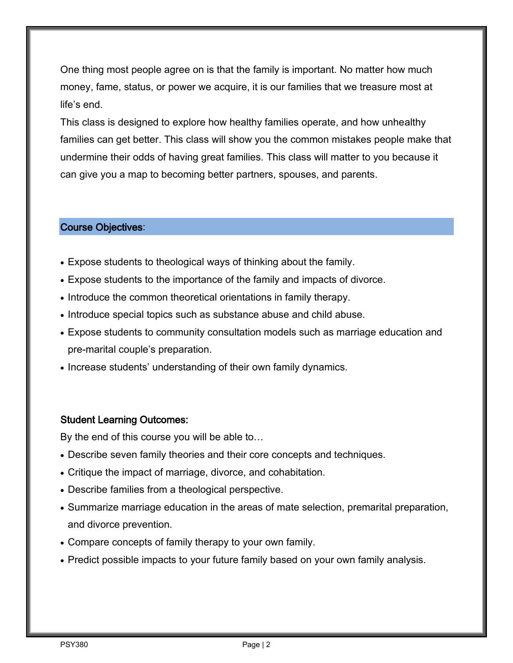One thing most people agree on is that the family is important. No matter how much money, fame, status, or power we acquire, it is our families that we treasure most at life's end.

This class is designed to explore how healthy families operate, and how unhealthy families can get better. This class will show you the common mistakes people make that undermine their odds of having great families. This class will matter to you because it can give you a map to becoming better partners, spouses, and parents.

## Course Objectives:

- Expose students to theological ways of thinking about the family.
- Expose students to the importance of the family and impacts of divorce.
- Introduce the common theoretical orientations in family therapy.
- Introduce special topics such as substance abuse and child abuse.
- Expose students to community consultation models such as marriage education and pre-marital couple's preparation.
- Increase students' understanding of their own family dynamics.

### Student Learning Outcomes:

By the end of this course you will be able to…

- Describe seven family theories and their core concepts and techniques.
- Critique the impact of marriage, divorce, and cohabitation.
- Describe families from a theological perspective.
- Summarize marriage education in the areas of mate selection, premarital preparation, and divorce prevention.
- Compare concepts of family therapy to your own family.
- Predict possible impacts to your future family based on your own family analysis.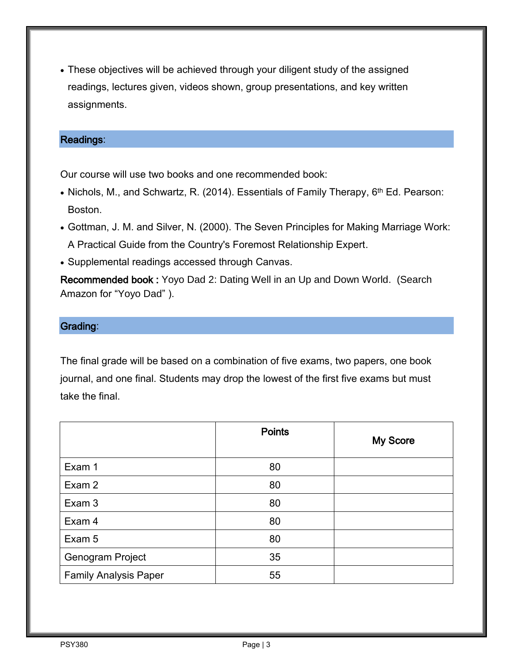These objectives will be achieved through your diligent study of the assigned readings, lectures given, videos shown, group presentations, and key written assignments.

## Readings:

Our course will use two books and one recommended book:

- Nichols, M., and Schwartz, R. (2014). Essentials of Family Therapy, 6<sup>th</sup> Ed. Pearson: Boston.
- Gottman, J. M. and Silver, N. (2000). The Seven Principles for Making Marriage Work: A Practical Guide from the Country's Foremost Relationship Expert.
- Supplemental readings accessed through Canvas.

Recommended book : Yoyo Dad 2: Dating Well in an Up and Down World. (Search Amazon for "Yoyo Dad" ).

## Grading:

The final grade will be based on a combination of five exams, two papers, one book journal, and one final. Students may drop the lowest of the first five exams but must take the final.

|                              | <b>Points</b> | <b>My Score</b> |
|------------------------------|---------------|-----------------|
| Exam 1                       | 80            |                 |
| Exam 2                       | 80            |                 |
| Exam 3                       | 80            |                 |
| Exam 4                       | 80            |                 |
| Exam 5                       | 80            |                 |
| Genogram Project             | 35            |                 |
| <b>Family Analysis Paper</b> | 55            |                 |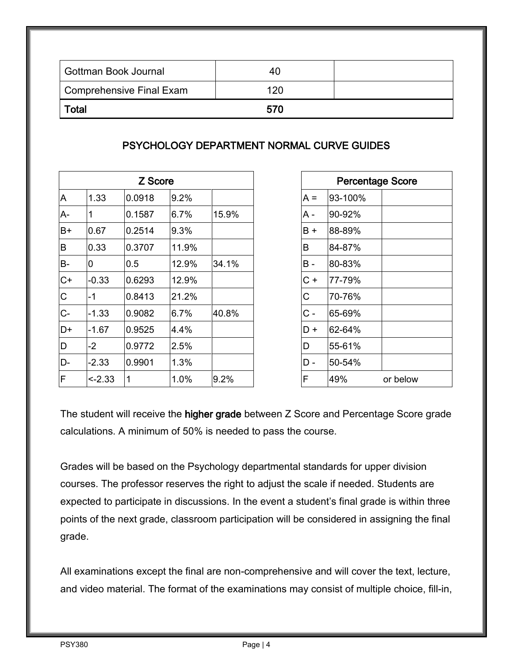| Gottman Book Journal     | 40  |  |
|--------------------------|-----|--|
| Comprehensive Final Exam | 120 |  |
| Total                    | 570 |  |

## PSYCHOLOGY DEPARTMENT NORMAL CURVE GUIDES

| Z Score |         |                |       |       | <b>Percentage Score</b> |         |
|---------|---------|----------------|-------|-------|-------------------------|---------|
| A       | 1.33    | 0.0918         | 9.2%  |       | $A =$                   | 93-100% |
| A-      |         | 0.1587         | 6.7%  | 15.9% | A -                     | 90-92%  |
| B+      | 0.67    | 0.2514         | 9.3%  |       | B+                      | 88-89%  |
| B       | 0.33    | 0.3707         | 11.9% |       | B                       | 84-87%  |
| $B -$   | O       | 0.5            | 12.9% | 34.1% | B -                     | 80-83%  |
| $C+$    | $-0.33$ | 0.6293         | 12.9% |       | $C +$                   | 77-79%  |
| C       | -1      | 0.8413         | 21.2% |       | С                       | 70-76%  |
| $C-$    | $-1.33$ | 0.9082         | 6.7%  | 40.8% | C -                     | 65-69%  |
| D+      | $-1.67$ | 0.9525         | 4.4%  |       | D+                      | 62-64%  |
| D       | $-2$    | 0.9772         | 2.5%  |       | D                       | 55-61%  |
| D-      | $-2.33$ | 0.9901         | 1.3%  |       | D -                     | 50-54%  |
| F       | $-2.33$ | $\overline{1}$ | 1.0%  | 9.2%  | F                       | 49%     |
|         |         |                |       |       |                         |         |

| Z Score |       |       |       |         | <b>Percentage Score</b> |
|---------|-------|-------|-------|---------|-------------------------|
| 918     | 9.2%  |       | $A =$ | 93-100% |                         |
| 587     | 6.7%  | 15.9% | A -   | 90-92%  |                         |
| 514     | 9.3%  |       | $B +$ | 88-89%  |                         |
| 707     | 11.9% |       | B     | 84-87%  |                         |
|         | 12.9% | 34.1% | $B -$ | 80-83%  |                         |
| 293     | 12.9% |       | $C +$ | 77-79%  |                         |
| 413     | 21.2% |       | C     | 70-76%  |                         |
| 082     | 6.7%  | 40.8% | $C -$ | 65-69%  |                         |
| 525     | 4.4%  |       | D+    | 62-64%  |                         |
| 772     | 2.5%  |       | D     | 55-61%  |                         |
| 901     | 1.3%  |       | D -   | 50-54%  |                         |
|         | 1.0%  | 9.2%  | F     | 49%     | or below                |
|         |       |       |       |         |                         |

The student will receive the higher grade between Z Score and Percentage Score grade calculations. A minimum of 50% is needed to pass the course.

Grades will be based on the Psychology departmental standards for upper division courses. The professor reserves the right to adjust the scale if needed. Students are expected to participate in discussions. In the event a student's final grade is within three points of the next grade, classroom participation will be considered in assigning the final grade.

All examinations except the final are non-comprehensive and will cover the text, lecture, and video material. The format of the examinations may consist of multiple choice, fill-in,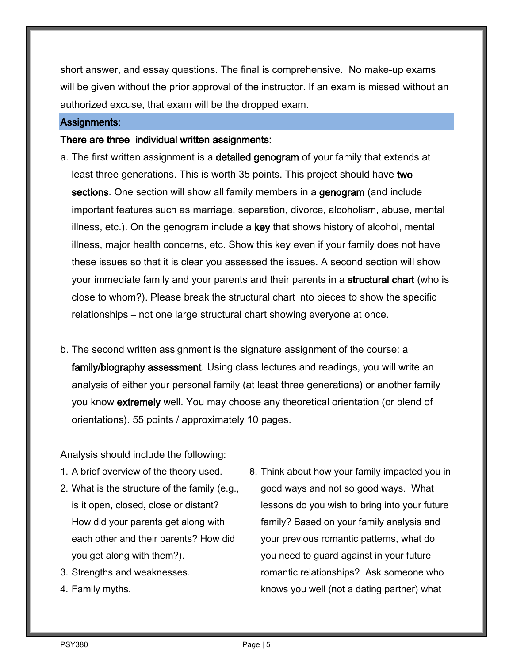short answer, and essay questions. The final is comprehensive. No make-up exams will be given without the prior approval of the instructor. If an exam is missed without an authorized excuse, that exam will be the dropped exam.

#### Assignments:

#### There are three individual written assignments:

- a. The first written assignment is a detailed genogram of your family that extends at least three generations. This is worth 35 points. This project should have two sections. One section will show all family members in a genogram (and include important features such as marriage, separation, divorce, alcoholism, abuse, mental illness, etc.). On the genogram include a key that shows history of alcohol, mental illness, major health concerns, etc. Show this key even if your family does not have these issues so that it is clear you assessed the issues. A second section will show your immediate family and your parents and their parents in a structural chart (who is close to whom?). Please break the structural chart into pieces to show the specific relationships – not one large structural chart showing everyone at once.
- b. The second written assignment is the signature assignment of the course: a family/biography assessment. Using class lectures and readings, you will write an analysis of either your personal family (at least three generations) or another family you know extremely well. You may choose any theoretical orientation (or blend of orientations). 55 points / approximately 10 pages.

Analysis should include the following:

- 1. A brief overview of the theory used.
- 2. What is the structure of the family (e.g., is it open, closed, close or distant? How did your parents get along with each other and their parents? How did you get along with them?).
- 3. Strengths and weaknesses.
- 4. Family myths.

8. Think about how your family impacted you in good ways and not so good ways. What lessons do you wish to bring into your future family? Based on your family analysis and your previous romantic patterns, what do you need to guard against in your future romantic relationships? Ask someone who knows you well (not a dating partner) what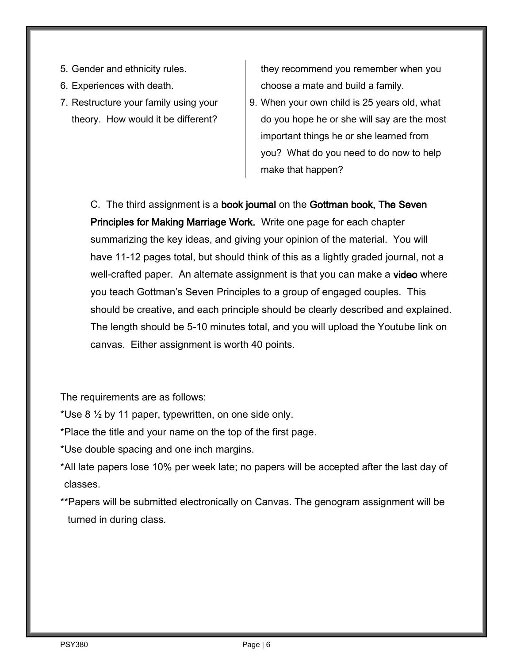- 5. Gender and ethnicity rules.
- 6. Experiences with death.
- 7. Restructure your family using your theory. How would it be different?

they recommend you remember when you choose a mate and build a family.

9. When your own child is 25 years old, what do you hope he or she will say are the most important things he or she learned from you? What do you need to do now to help make that happen?

C. The third assignment is a book journal on the Gottman book, The Seven Principles for Making Marriage Work. Write one page for each chapter summarizing the key ideas, and giving your opinion of the material. You will have 11-12 pages total, but should think of this as a lightly graded journal, not a well-crafted paper. An alternate assignment is that you can make a video where you teach Gottman's Seven Principles to a group of engaged couples. This should be creative, and each principle should be clearly described and explained. The length should be 5-10 minutes total, and you will upload the Youtube link on canvas. Either assignment is worth 40 points.

The requirements are as follows:

- \*Use 8  $\frac{1}{2}$  by 11 paper, typewritten, on one side only.
- \*Place the title and your name on the top of the first page.
- \*Use double spacing and one inch margins.
- \*All late papers lose 10% per week late; no papers will be accepted after the last day of classes.
- \*\*Papers will be submitted electronically on Canvas. The genogram assignment will be turned in during class.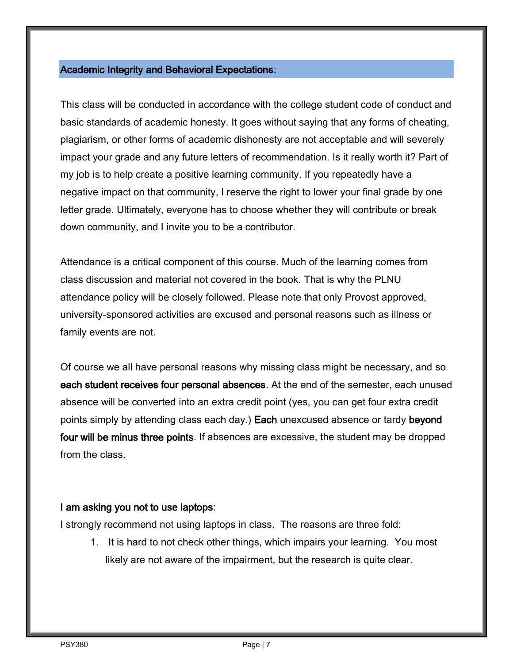## Academic Integrity and Behavioral Expectations:

This class will be conducted in accordance with the college student code of conduct and basic standards of academic honesty. It goes without saying that any forms of cheating, plagiarism, or other forms of academic dishonesty are not acceptable and will severely impact your grade and any future letters of recommendation. Is it really worth it? Part of my job is to help create a positive learning community. If you repeatedly have a negative impact on that community, I reserve the right to lower your final grade by one letter grade. Ultimately, everyone has to choose whether they will contribute or break down community, and I invite you to be a contributor.

Attendance is a critical component of this course. Much of the learning comes from class discussion and material not covered in the book. That is why the PLNU attendance policy will be closely followed. Please note that only Provost approved, university-sponsored activities are excused and personal reasons such as illness or family events are not.

Of course we all have personal reasons why missing class might be necessary, and so each student receives four personal absences. At the end of the semester, each unused absence will be converted into an extra credit point (yes, you can get four extra credit points simply by attending class each day.) Each unexcused absence or tardy beyond four will be minus three points. If absences are excessive, the student may be dropped from the class.

### I am asking you not to use laptops:

I strongly recommend not using laptops in class. The reasons are three fold:

1. It is hard to not check other things, which impairs your learning. You most likely are not aware of the impairment, but the research is quite clear.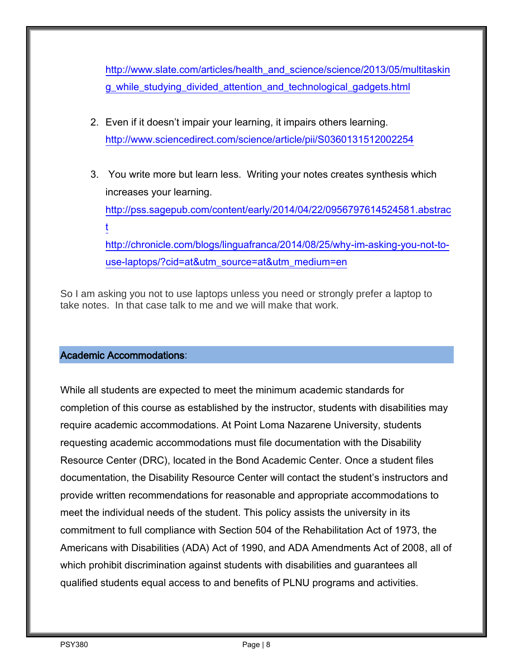[http://www.slate.com/articles/health\\_and\\_science/science/2013/05/multitaskin](http://www.slate.com/articles/health_and_science/science/2013/05/multitasking_while_studying_divided_attention_and_technological_gadgets.html) [g\\_while\\_studying\\_divided\\_attention\\_and\\_technological\\_gadgets.html](http://www.slate.com/articles/health_and_science/science/2013/05/multitasking_while_studying_divided_attention_and_technological_gadgets.html)

- 2. Even if it doesn't impair your learning, it impairs others learning. <http://www.sciencedirect.com/science/article/pii/S0360131512002254>
- 3. You write more but learn less. Writing your notes creates synthesis which increases your learning. [http://pss.sagepub.com/content/early/2014/04/22/0956797614524581.abstrac](http://pss.sagepub.com/content/early/2014/04/22/0956797614524581.abstract) [t](http://pss.sagepub.com/content/early/2014/04/22/0956797614524581.abstract) [http://chronicle.com/blogs/linguafranca/2014/08/25/why-im-asking-you-not-to](http://chronicle.com/blogs/linguafranca/2014/08/25/why-im-asking-you-not-to-use-laptops/?cid=at&utm_source=at&utm_medium=en)[use-laptops/?cid=at&utm\\_source=at&utm\\_medium=en](http://chronicle.com/blogs/linguafranca/2014/08/25/why-im-asking-you-not-to-use-laptops/?cid=at&utm_source=at&utm_medium=en)

So I am asking you not to use laptops unless you need or strongly prefer a laptop to take notes. In that case talk to me and we will make that work.

## Academic Accommodations:

While all students are expected to meet the minimum academic standards for completion of this course as established by the instructor, students with disabilities may require academic accommodations. At Point Loma Nazarene University, students requesting academic accommodations must file documentation with the Disability Resource Center (DRC), located in the Bond Academic Center. Once a student files documentation, the Disability Resource Center will contact the student's instructors and provide written recommendations for reasonable and appropriate accommodations to meet the individual needs of the student. This policy assists the university in its commitment to full compliance with Section 504 of the Rehabilitation Act of 1973, the Americans with Disabilities (ADA) Act of 1990, and ADA Amendments Act of 2008, all of which prohibit discrimination against students with disabilities and guarantees all qualified students equal access to and benefits of PLNU programs and activities.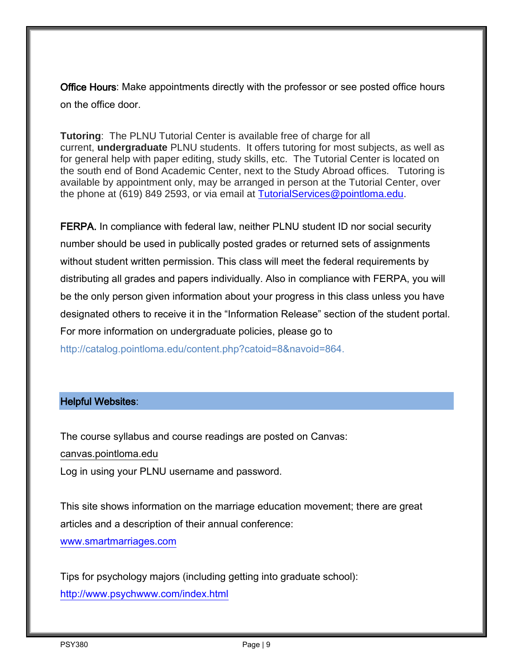Office Hours: Make appointments directly with the professor or see posted office hours on the office door.

**Tutoring**: The PLNU Tutorial Center is available free of charge for all current, **undergraduate** PLNU students. It offers tutoring for most subjects, as well as for general help with paper editing, study skills, etc. The Tutorial Center is located on the south end of Bond Academic Center, next to the Study Abroad offices. Tutoring is available by appointment only, may be arranged in person at the Tutorial Center, over the phone at (619) 849 2593, or via email at [TutorialServices@pointloma.edu.](mailto:TutorialServices@pointloma.edu)

FERPA. In compliance with federal law, neither PLNU student ID nor social security number should be used in publically posted grades or returned sets of assignments without student written permission. This class will meet the federal requirements by distributing all grades and papers individually. Also in compliance with FERPA, you will be the only person given information about your progress in this class unless you have designated others to receive it in the "Information Release" section of the student portal. For more information on undergraduate policies, please go to http://catalog.pointloma.edu/content.php?catoid=8&navoid=864.

### Helpful Websites:

The course syllabus and course readings are posted on Canvas: canvas.pointloma.edu Log in using your PLNU username and password.

This site shows information on the marriage education movement; there are great articles and a description of their annual conference:

[www.smartmarriages.com](file:///C:/Documents%20and%20Settings/jwu/Local%20Settings/Temporary%20Internet%20Files/Content.Outlook/B5BAY09F/www.smartmarriages.com)

Tips for psychology majors (including getting into graduate school): <http://www.psychwww.com/index.html>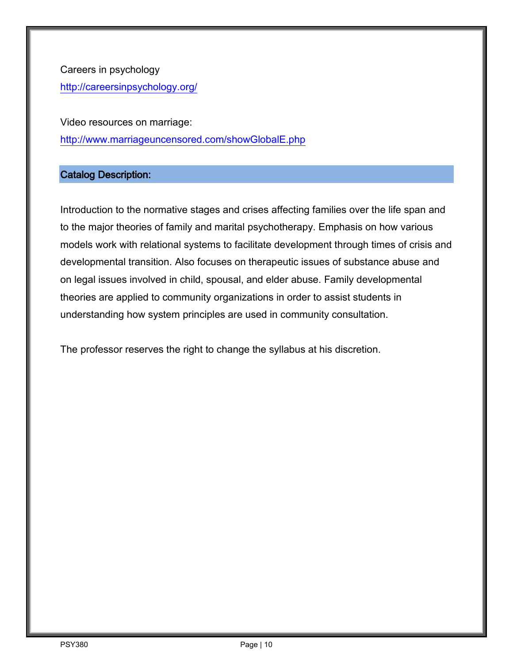Careers in psychology <http://careersinpsychology.org/>

Video resources on marriage: <http://www.marriageuncensored.com/showGlobalE.php>

# Catalog Description:

Introduction to the normative stages and crises affecting families over the life span and to the major theories of family and marital psychotherapy. Emphasis on how various models work with relational systems to facilitate development through times of crisis and developmental transition. Also focuses on therapeutic issues of substance abuse and on legal issues involved in child, spousal, and elder abuse. Family developmental theories are applied to community organizations in order to assist students in understanding how system principles are used in community consultation.

The professor reserves the right to change the syllabus at his discretion.